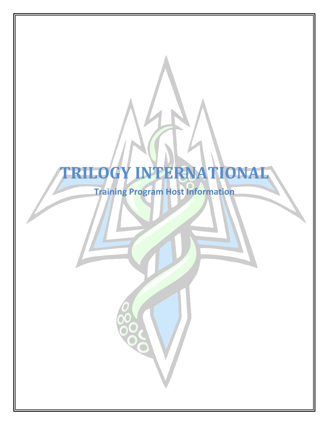# **TOGY INTERNATIONAL**

**Training Program Host Information**

I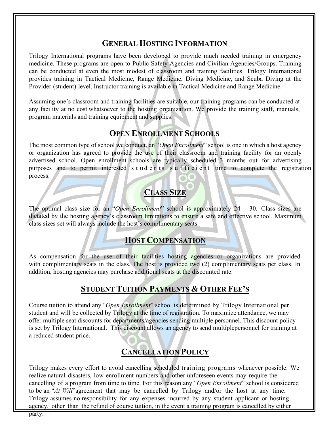#### **GENERAL HOSTING INFORMATION**

Trilogy International programs have been developed to provide much needed training in emergency medicine. These programs are open to Public Safety Agencies and Civilian Agencies/Groups. Training can be conducted at even the most modest of classroom and training facilities. Trilogy International provides training in Tactical Medicine, Range Medicine, Diving Medicine, and Scuba Diving at the Provider (student) level. Instructor training is available in Tactical Medicine and Range Medicine.

Assuming one's classroom and training facilities are suitable, our training programs can be conducted at any facility at no cost whatsoever to the hosting organization. We provide the training staff, manuals, program materials and training equipment and supplies.

#### **OPEN ENROLLMENT SCHOOLS**

The most common type of school we conduct, an "*Open Enrollment*" school is one in which a host agency or organization has agreed to provide the use of their classroom and training facility for an openly advertised school. Open enrollment schools are typically scheduled 3 months out for advertising purposes and to permit interested s t u d e n ts s u f f i c i e n t time to complete the registration process.

# **CLASS SIZE**

The optimal class size for an "*Open Enrollment*" school is approximately 24 – 30. Class sizes are dictated by the hosting agency's classroom limitations to ensure a safe and effective school. Maximum class sizes set will always include the host's complimentary seats.

#### **HOST COMPENSATION**

As compensation for the use of their facilities hosting agencies or organizations are provided with complimentary seats in the class. The host is provided two (2) complimentary seats per class. In addition, hosting agencies may purchase additional seats at the discounted rate.

## **STUDENT TUITION PAYMENTS & OTHER FEE'S**

Course tuition to attend any "*Open Enrollment*" school is determined by Trilogy International per student and will be collected by Trilogy at the time of registration. To maximize attendance, we may offer multiple seat discounts for departments/agencies sending multiple personnel. This discount policy is set by Trilogy International. This discount allows an agency to send multiple personnel for training at a reduced student price.

# **CANCELLATION POLICY**

Trilogy makes every effort to avoid cancelling scheduled training programs whenever possible. We realize natural disasters, low enrollment numbers and other unforeseen events may require the cancelling of a program from time to time. For this reason any "*Open Enrollment*" school is considered to be an "*At Will*" agreement that may be cancelled by Trilogy and/or the host at any time. Trilogy assumes no responsibility for any expenses incurred by any student applicant or hosting agency, other than the refund of course tuition, in the event a training program is cancelled by either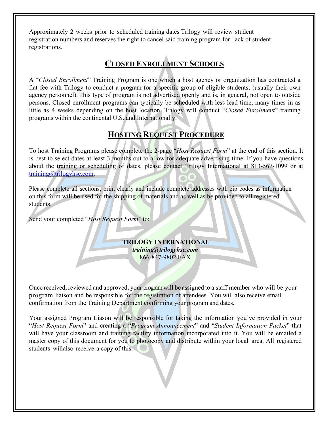Approximately 2 weeks prior to scheduled training dates Trilogy will review student registration numbers and reserves the right to cancel said training program for lack of student registrations.

## **CLOSED ENROLLMENT SCHOOLS**

A "*Closed Enrollment*" Training Program is one which a host agency or organization has contracted a flat fee with Trilogy to conduct a program for a specific group of eligible students, (usually their own agency personnel). This type of program is not advertised openly and is, in general, not open to outside persons. Closed enrollment programs can typically be scheduled with less lead time, many times in as little as 4 weeks depending on the host location. Trilogy will conduct "*Closed Enrollment*" training programs within the continental U.S. and Internationally.

#### **HOSTING REQUEST PROCEDURE**

To host Training Programs please complete the 2-page "*Host Request Form*" at the end of this section. It is best to select dates at least 3 months out to allow for adequate advertising time. If you have questions about the training or scheduling of dates, please contact Trilogy International at 813-567-1099 or at [training@trilogyhse.com.](mailto:training@trilogyhse.com)

Please complete all sections, print clearly and include complete addresses with zip codes as information on this form will be used for the shipping of materials and as well as be provided to all registered students.

Send your completed "*Host Request Form*" to:

#### **TRILOGY INTERNATIONAL**

*[training@trilogyhse.com](mailto:training@trilogyhse.com)* 866-847-9802 FAX

Once received, reviewed and approved, your program will be assigned to a staff member who will be your program liaison and be responsible for the registration of attendees. You will also receive email confirmation from the Training Department confirming your program and dates.

Your assigned Program Liason will be responsible for taking the information you've provided in your "*Host Request Form*" and creating a "*Program Announcement*" and "*Student Information Packet*" that will have your classroom and training facility information incorporated into it. You will be emailed a master copy of this document for you to photocopy and distribute within your local area. All registered students willalso receive a copy of this.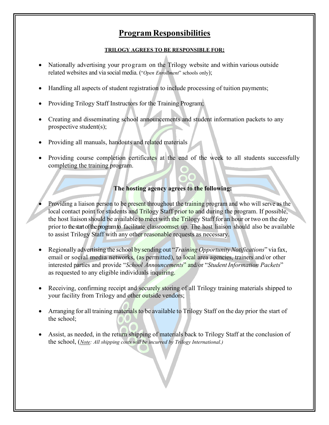### **Program Responsibilities**

#### **TRILOGY AGREES TO BE RESPONSIBLE FOR:**

- Nationally advertising your program on the Trilogy website and within various outside related websites and via social media. ("*Open Enrollment*" schools only);
- Handling all aspects of student registration to include processing of tuition payments;
- Providing Trilogy Staff Instructors for the Training Program;
- Creating and disseminating school announcements and student information packets to any prospective student(s);
- Providing all manuals, handouts and related materials
- Providing course completion certificates at the end of the week to all students successfully completing the training program.

#### **The hosting agency agrees to the following:**

- Providing a liaison person to be present throughout the training program and who will serve as the local contact point for students and Trilogy Staff prior to and during the program. If possible, the host liaison should be available to meet with the Trilogy Staff for an hour or two on the day prior to the start of the program to facilitate classroomset up. The host liaison should also be available to assist Trilogy Staff with any other reasonable requests as necessary.
- Regionally advertising the school by sending out "*Training Opportunity Notifications*" via fax, email or social media networks, (as permitted), to local area agencies, trainers and/or other interested parties and provide "*School Announcements*" and/or "*Student Information Packets*" as requested to any eligible individuals inquiring.
- Receiving, confirming receipt and securely storing of all Trilogy training materials shipped to your facility from Trilogy and other outside vendors;
- Arranging for all training materials to be available to Trilogy Staff on the day prior the start of the school;
- Assist, as needed, in the return shipping of materials back to Trilogy Staff at the conclusion of the school, (*Note: All shipping costs will be incurred by Trilogy International.)*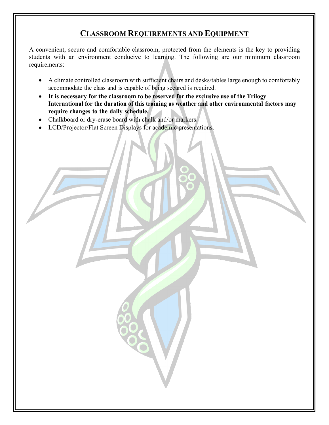### **CLASSROOM REQUIREMENTS AND EQUIPMENT**

A convenient, secure and comfortable classroom, protected from the elements is the key to providing students with an environment conducive to learning. The following are our minimum classroom requirements:

- A climate controlled classroom with sufficient chairs and desks/tables large enough to comfortably accommodate the class and is capable of being secured is required.
- **It is necessary for the classroom to be reserved for the exclusive use of the Trilogy International for the duration of this training as weather and other environmental factors may require changes to the daily schedule.**
- Chalkboard or dry-erase board with chalk and/or markers.
- LCD/Projector/Flat Screen Displays for academic presentations.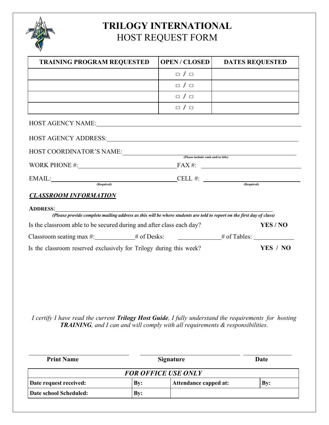

# **TRILOGY INTERNATIONAL** HOST REQUEST FORM

| <b>TRAINING PROGRAM REQUESTED</b>                                                                                                                                                                                                                                                                                                                                           | <b>OPEN/CLOSED</b>                 | <b>DATES REQUESTED</b> |  |
|-----------------------------------------------------------------------------------------------------------------------------------------------------------------------------------------------------------------------------------------------------------------------------------------------------------------------------------------------------------------------------|------------------------------------|------------------------|--|
|                                                                                                                                                                                                                                                                                                                                                                             | $\Box / \Box$                      |                        |  |
|                                                                                                                                                                                                                                                                                                                                                                             | $\Box$                             |                        |  |
|                                                                                                                                                                                                                                                                                                                                                                             | $\Box$                             |                        |  |
|                                                                                                                                                                                                                                                                                                                                                                             | $\Box / \Box$                      |                        |  |
|                                                                                                                                                                                                                                                                                                                                                                             |                                    |                        |  |
|                                                                                                                                                                                                                                                                                                                                                                             |                                    |                        |  |
| HOST COORDINATOR'S NAME:                                                                                                                                                                                                                                                                                                                                                    |                                    |                        |  |
|                                                                                                                                                                                                                                                                                                                                                                             | (Please include rank and/or title) |                        |  |
| WORK PHONE #: $FAX #:$                                                                                                                                                                                                                                                                                                                                                      |                                    |                        |  |
| $\text{EMAIL:}\n \begin{picture}(100,100) \put(0,0){\vector(1,0){100}} \put(0,0){\vector(1,0){100}} \put(0,0){\vector(1,0){100}} \put(0,0){\vector(1,0){100}} \put(0,0){\vector(1,0){100}} \put(0,0){\vector(1,0){100}} \put(0,0){\vector(1,0){100}} \put(0,0){\vector(1,0){100}} \put(0,0){\vector(1,0){100}} \put(0,0){\vector(1,0){100}} \put(0,0){\vector(1,0){100}} \$ |                                    |                        |  |
|                                                                                                                                                                                                                                                                                                                                                                             |                                    |                        |  |
| <b>CLASSROOM INFORMATION</b>                                                                                                                                                                                                                                                                                                                                                |                                    |                        |  |
| <b>ADDRESS:</b>                                                                                                                                                                                                                                                                                                                                                             |                                    |                        |  |
| Is the classroom able to be secured during and after class each day?                                                                                                                                                                                                                                                                                                        |                                    | YES / NO               |  |
| Classroom seating max #: _________________# of Desks:                                                                                                                                                                                                                                                                                                                       |                                    |                        |  |
| Is the classroom reserved exclusively for Trilogy during this week?                                                                                                                                                                                                                                                                                                         |                                    | YES / NO               |  |

*I certify I have read the current Trilogy Host Guide, I fully understand the requirements for hosting TRAINING, and I can and will comply with all requirements & responsibilities.*

| <b>Print Name</b>          | <b>Signature</b> |                       | Date |  |
|----------------------------|------------------|-----------------------|------|--|
| <b>FOR OFFICE USE ONLY</b> |                  |                       |      |  |
| Date request received:     | By:              | Attendance capped at: | By:  |  |
| Date school Scheduled:     | $\mathbf{By:}$   |                       |      |  |